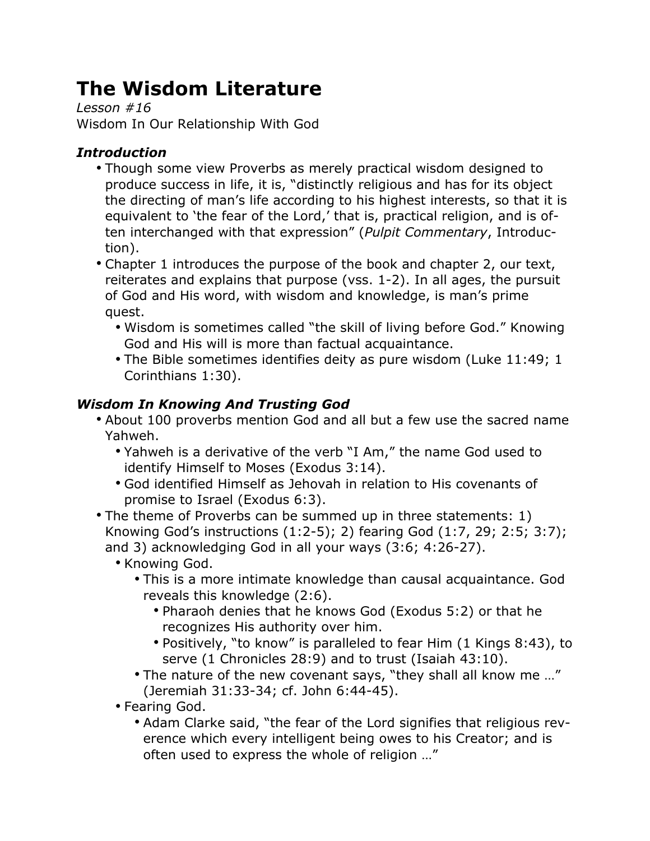# **The Wisdom Literature**

*Lesson #16* Wisdom In Our Relationship With God

# *Introduction*

- Though some view Proverbs as merely practical wisdom designed to produce success in life, it is, "distinctly religious and has for its object the directing of man's life according to his highest interests, so that it is equivalent to 'the fear of the Lord,' that is, practical religion, and is often interchanged with that expression" (*Pulpit Commentary*, Introduction).
- Chapter 1 introduces the purpose of the book and chapter 2, our text, reiterates and explains that purpose (vss. 1-2). In all ages, the pursuit of God and His word, with wisdom and knowledge, is man's prime quest.
	- Wisdom is sometimes called "the skill of living before God." Knowing God and His will is more than factual acquaintance.
	- The Bible sometimes identifies deity as pure wisdom (Luke 11:49; 1 Corinthians 1:30).

## *Wisdom In Knowing And Trusting God*

- About 100 proverbs mention God and all but a few use the sacred name Yahweh.
	- Yahweh is a derivative of the verb "I Am," the name God used to identify Himself to Moses (Exodus 3:14).
	- God identified Himself as Jehovah in relation to His covenants of promise to Israel (Exodus 6:3).
- The theme of Proverbs can be summed up in three statements: 1) Knowing God's instructions (1:2-5); 2) fearing God (1:7, 29; 2:5; 3:7); and 3) acknowledging God in all your ways (3:6; 4:26-27).
	- Knowing God.
		- This is a more intimate knowledge than causal acquaintance. God reveals this knowledge (2:6).
			- Pharaoh denies that he knows God (Exodus 5:2) or that he recognizes His authority over him.
			- Positively, "to know" is paralleled to fear Him (1 Kings 8:43), to serve (1 Chronicles 28:9) and to trust (Isaiah 43:10).
		- The nature of the new covenant says, "they shall all know me …" (Jeremiah 31:33-34; cf. John 6:44-45).
	- Fearing God.
		- Adam Clarke said, "the fear of the Lord signifies that religious reverence which every intelligent being owes to his Creator; and is often used to express the whole of religion …"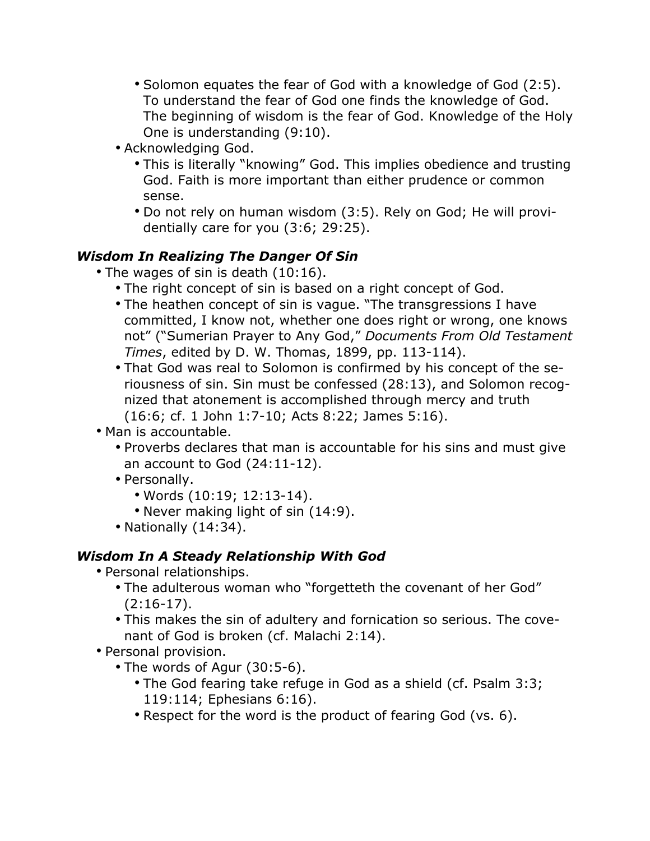- Solomon equates the fear of God with a knowledge of God (2:5). To understand the fear of God one finds the knowledge of God. The beginning of wisdom is the fear of God. Knowledge of the Holy One is understanding (9:10).
- Acknowledging God.
	- This is literally "knowing" God. This implies obedience and trusting God. Faith is more important than either prudence or common sense.
	- Do not rely on human wisdom (3:5). Rely on God; He will providentially care for you (3:6; 29:25).

### *Wisdom In Realizing The Danger Of Sin*

- The wages of sin is death (10:16).
	- The right concept of sin is based on a right concept of God.
	- The heathen concept of sin is vague. "The transgressions I have committed, I know not, whether one does right or wrong, one knows not" ("Sumerian Prayer to Any God," *Documents From Old Testament Times*, edited by D. W. Thomas, 1899, pp. 113-114).
	- That God was real to Solomon is confirmed by his concept of the seriousness of sin. Sin must be confessed (28:13), and Solomon recognized that atonement is accomplished through mercy and truth (16:6; cf. 1 John 1:7-10; Acts 8:22; James 5:16).
- Man is accountable.
	- Proverbs declares that man is accountable for his sins and must give an account to God (24:11-12).
	- Personally.
		- Words (10:19; 12:13-14).
		- Never making light of sin (14:9).
	- Nationally (14:34).

### *Wisdom In A Steady Relationship With God*

- Personal relationships.
	- The adulterous woman who "forgetteth the covenant of her God"  $(2:16-17)$ .
	- This makes the sin of adultery and fornication so serious. The covenant of God is broken (cf. Malachi 2:14).
- Personal provision.
	- The words of Agur (30:5-6).
		- The God fearing take refuge in God as a shield (cf. Psalm 3:3; 119:114; Ephesians 6:16).
		- Respect for the word is the product of fearing God (vs. 6).